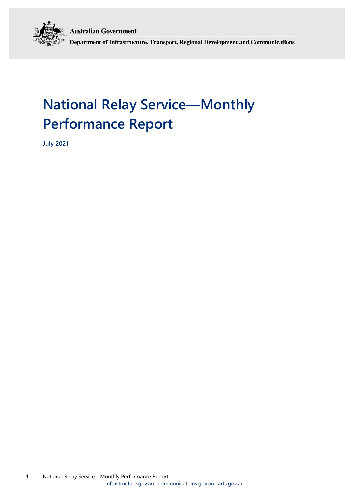**Australian Government** 



Department of Infrastructure, Transport, Regional Development and Communications

# **National Relay Service—Monthly Performance Report**

**July 2021**

\_\_\_\_\_\_\_\_\_\_\_\_\_\_\_\_\_\_\_\_\_\_\_\_\_\_\_\_\_\_\_\_\_\_\_\_\_\_\_\_\_\_\_\_\_\_\_\_\_\_\_\_\_\_\_\_\_\_\_\_\_\_\_\_\_\_\_\_\_\_\_\_\_\_\_\_\_\_\_\_\_\_\_\_\_\_\_\_\_\_\_\_\_\_\_\_\_\_\_\_\_\_\_\_\_\_\_\_\_\_\_\_\_\_\_\_\_\_\_\_\_\_\_\_\_\_\_\_\_\_\_\_\_\_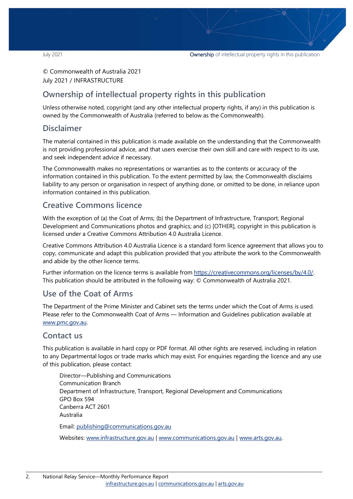© Commonwealth of Australia 2021 July 2021 / INFRASTRUCTURE

## **Ownership of intellectual property rights in this publication**

Unless otherwise noted, copyright (and any other intellectual property rights, if any) in this publication is owned by the Commonwealth of Australia (referred to below as the Commonwealth).

### **Disclaimer**

The material contained in this publication is made available on the understanding that the Commonwealth is not providing professional advice, and that users exercise their own skill and care with respect to its use, and seek independent advice if necessary.

The Commonwealth makes no representations or warranties as to the contents or accuracy of the information contained in this publication. To the extent permitted by law, the Commonwealth disclaims liability to any person or organisation in respect of anything done, or omitted to be done, in reliance upon information contained in this publication.

## **Creative Commons licence**

With the exception of (a) the Coat of Arms; (b) the Department of Infrastructure, Transport, Regional Development and Communications photos and graphics; and (c) [OTHER], copyright in this publication is licensed under a Creative Commons Attribution 4.0 Australia Licence.

Creative Commons Attribution 4.0 Australia Licence is a standard form licence agreement that allows you to copy, communicate and adapt this publication provided that you attribute the work to the Commonwealth and abide by the other licence terms.

Further information on the licence terms is available from [https://creativecommons.org/licenses/by/4.0/.](https://creativecommons.org/licenses/by/4.0/) This publication should be attributed in the following way: © Commonwealth of Australia 2021.

## **Use of the Coat of Arms**

The Department of the Prime Minister and Cabinet sets the terms under which the Coat of Arms is used. Please refer to the Commonwealth Coat of Arms — Information and Guidelines publication available at [www.pmc.gov.au.](http://www.pmc.gov.au/) 

## **Contact us**

This publication is available in hard copy or PDF format. All other rights are reserved, including in relation to any Departmental logos or trade marks which may exist. For enquiries regarding the licence and any use of this publication, please contact:

Director—Publishing and Communications Communication Branch Department of Infrastructure, Transport, Regional Development and Communications GPO Box 594 Canberra ACT 2601 Australia Email: [publishing@communications.gov.au](mailto:publishing@communications.gov.au)

Websites: [www.infrastructure.gov.au](http://www.infrastructure.gov.au/) [| www.communications.gov.au](http://www.communications.gov.au/) | [www.arts.gov.au.](http://www.arts.gov.au/)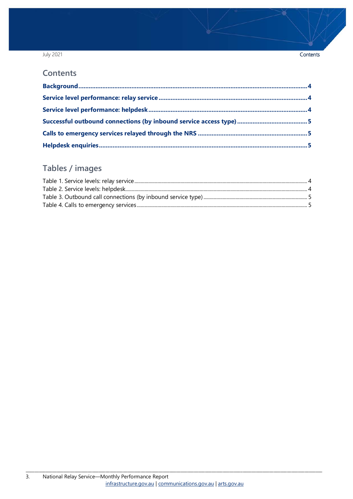### July 2021

### Contents

### **Contents**

## Tables / images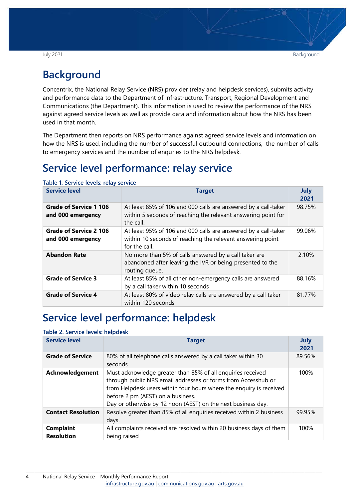## <span id="page-3-0"></span>**Background**

Concentrix, the National Relay Service (NRS) provider (relay and helpdesk services), submits activity and performance data to the Department of Infrastructure, Transport, Regional Development and Communications (the Department). This information is used to review the performance of the NRS against agreed service levels as well as provide data and information about how the NRS has been used in that month.

The Department then reports on NRS performance against agreed service levels and information on how the NRS is used, including the number of successful outbound connections, the number of calls to emergency services and the number of enquries to the NRS helpdesk.

## <span id="page-3-1"></span>**Service level performance: relay service**

| <b>Service level</b>                               | <b>Target</b>                                                                                                                                 | <b>July</b><br>2021 |
|----------------------------------------------------|-----------------------------------------------------------------------------------------------------------------------------------------------|---------------------|
| Grade of Service 1 106<br>and 000 emergency        | At least 85% of 106 and 000 calls are answered by a call-taker<br>within 5 seconds of reaching the relevant answering point for<br>the call.  | 98.75%              |
| <b>Grade of Service 2 106</b><br>and 000 emergency | At least 95% of 106 and 000 calls are answered by a call-taker<br>within 10 seconds of reaching the relevant answering point<br>for the call. | 99.06%              |
| <b>Abandon Rate</b>                                | No more than 5% of calls answered by a call taker are<br>abandoned after leaving the IVR or being presented to the<br>routing queue.          | 2.10%               |
| <b>Grade of Service 3</b>                          | At least 85% of all other non-emergency calls are answered<br>by a call taker within 10 seconds                                               | 88.16%              |
| <b>Grade of Service 4</b>                          | At least 80% of video relay calls are answered by a call taker<br>within 120 seconds                                                          | 81.77%              |

<span id="page-3-3"></span>**Table 1. Service levels: relay service**

## <span id="page-3-2"></span>**Service level performance: helpdesk**

### <span id="page-3-4"></span>**Table 2. Service levels: helpdesk**

| <b>Service level</b>                  | <b>Target</b>                                                                                                                                                                                                                                                                                            | <b>July</b><br>2021 |
|---------------------------------------|----------------------------------------------------------------------------------------------------------------------------------------------------------------------------------------------------------------------------------------------------------------------------------------------------------|---------------------|
| <b>Grade of Service</b>               | 80% of all telephone calls answered by a call taker within 30<br>seconds                                                                                                                                                                                                                                 | 89.56%              |
| <b>Acknowledgement</b>                | Must acknowledge greater than 85% of all enquiries received<br>through public NRS email addresses or forms from Accesshub or<br>from Helpdesk users within four hours where the enquiry is received<br>before 2 pm (AEST) on a business.<br>Day or otherwise by 12 noon (AEST) on the next business day. | 100%                |
| <b>Contact Resolution</b>             | Resolve greater than 85% of all enquiries received within 2 business<br>days.                                                                                                                                                                                                                            | 99.95%              |
| <b>Complaint</b><br><b>Resolution</b> | All complaints received are resolved within 20 business days of them<br>being raised                                                                                                                                                                                                                     | 100%                |

\_\_\_\_\_\_\_\_\_\_\_\_\_\_\_\_\_\_\_\_\_\_\_\_\_\_\_\_\_\_\_\_\_\_\_\_\_\_\_\_\_\_\_\_\_\_\_\_\_\_\_\_\_\_\_\_\_\_\_\_\_\_\_\_\_\_\_\_\_\_\_\_\_\_\_\_\_\_\_\_\_\_\_\_\_\_\_\_\_\_\_\_\_\_\_\_\_\_\_\_\_\_\_\_\_\_\_\_\_\_\_\_\_\_\_\_\_\_\_\_\_\_\_\_\_\_\_\_\_\_\_\_\_\_